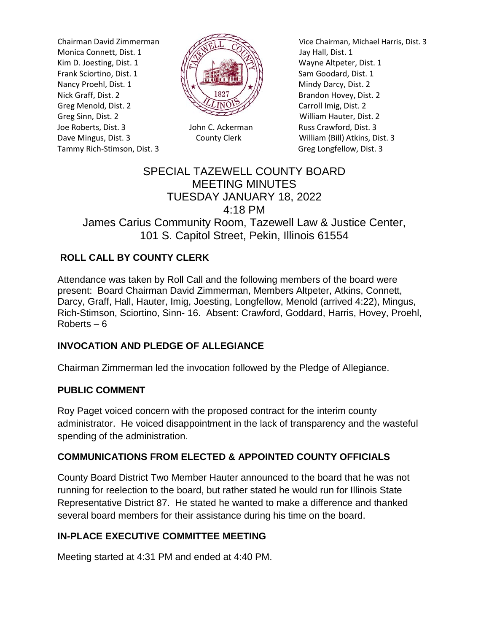Monica Connett, Dist. 1  $\frac{1}{\sqrt{2}}$  Jay Hall, Dist. 1 Kim D. Joesting, Dist. 1  $\sqrt{|\mathcal{R}|}$  N Wayne Altpeter, Dist. 1 Frank Sciortino, Dist. 1  $\left\| \begin{array}{ccc} \parallel & \parallel & \parallel \end{array} \right\|$   $\left\| \begin{array}{ccc} \parallel & \parallel & \parallel \end{array} \right\|$  Sam Goodard, Dist. 1 Nancy Proehl, Dist. 1  $\left\| \cdot \right\|$ Nick Graff, Dist. 2  $\mathbb{R}\setminus\mathbb{R}^{32}$  Brandon Hovey, Dist. 2 Greg Menold, Dist. 2 Carroll Imig, Dist. 2 Greg Sinn, Dist. 2 William Hauter, Dist. 2 Joe Roberts, Dist. 3 John C. Ackerman Russ Crawford, Dist. 3 Dave Mingus, Dist. 3 County Clerk William (Bill) Atkins, Dist. 3 Tammy Rich-Stimson, Dist. 3 Greg Longfellow, Dist. 3



Chairman David Zimmerman Vice Chairman, Michael Harris, Dist. 3

# SPECIAL TAZEWELL COUNTY BOARD MEETING MINUTES TUESDAY JANUARY 18, 2022 4:18 PM James Carius Community Room, Tazewell Law & Justice Center, 101 S. Capitol Street, Pekin, Illinois 61554

## **ROLL CALL BY COUNTY CLERK**

Attendance was taken by Roll Call and the following members of the board were present: Board Chairman David Zimmerman, Members Altpeter, Atkins, Connett, Darcy, Graff, Hall, Hauter, Imig, Joesting, Longfellow, Menold (arrived 4:22), Mingus, Rich-Stimson, Sciortino, Sinn- 16. Absent: Crawford, Goddard, Harris, Hovey, Proehl, Roberts – 6

## **INVOCATION AND PLEDGE OF ALLEGIANCE**

Chairman Zimmerman led the invocation followed by the Pledge of Allegiance.

#### **PUBLIC COMMENT**

Roy Paget voiced concern with the proposed contract for the interim county administrator. He voiced disappointment in the lack of transparency and the wasteful spending of the administration.

#### **COMMUNICATIONS FROM ELECTED & APPOINTED COUNTY OFFICIALS**

County Board District Two Member Hauter announced to the board that he was not running for reelection to the board, but rather stated he would run for Illinois State Representative District 87. He stated he wanted to make a difference and thanked several board members for their assistance during his time on the board.

#### **IN-PLACE EXECUTIVE COMMITTEE MEETING**

Meeting started at 4:31 PM and ended at 4:40 PM.